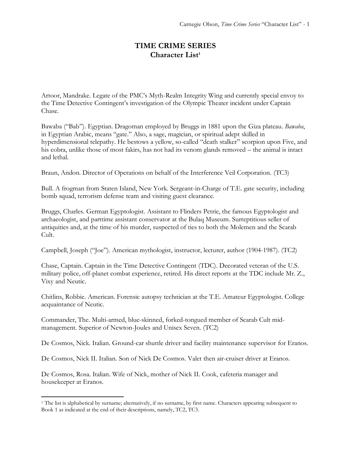## **TIME CRIME SERIES Character List<sup>1</sup>**

Artoor, Mandrake. Legate of the PMC's Myth-Realm Integrity Wing and currently special envoy to the Time Detective Contingent's investigation of the Olympic Theater incident under Captain Chase.

Bawaba ("Bab"). Egyptian. Dragoman employed by Bruggs in 1881 upon the Giza plateau. *Bawaba*, in Egyptian Arabic, means "gate." Also, a sage, magician, or spiritual adept skilled in hyperdimensional telepathy. He bestows a yellow, so-called "death stalker" scorpion upon Five, and his cobra, unlike those of most fakirs, has not had its venom glands removed – the animal is intact and lethal.

Braun, Andon. Director of Operations on behalf of the Interference Veil Corporation. (TC3)

Bull. A frogman from Staten Island, New York. Sergeant-in-Charge of T.E. gate security, including bomb squad, terrorism defense team and visiting guest clearance.

Bruggs, Charles. German Egyptologist. Assistant to Flinders Petrie, the famous Egyptologist and archaeologist, and parttime assistant conservator at the Bulaq Museum. Surreptitious seller of antiquities and, at the time of his murder, suspected of ties to both the Molemen and the Scarab Cult.

Campbell, Joseph ("Joe"). American mythologist, instructor, lecturer, author (1904-1987). (TC2)

Chase, Captain. Captain in the Time Detective Contingent (TDC). Decorated veteran of the U.S. military police, off-planet combat experience, retired. His direct reports at the TDC include Mr. Z., Vixy and Neutic.

Chitlins, Robbie. American. Forensic autopsy technician at the T.E. Amateur Egyptologist. College acquaintance of Neutic.

Commander, The. Multi-armed, blue-skinned, forked-tongued member of Scarab Cult midmanagement. Superior of Newton-Joules and Unisex Seven. (TC2)

De Cosmos, Nick. Italian. Ground-car shuttle driver and facility maintenance supervisor for Eranos.

De Cosmos, Nick II. Italian. Son of Nick De Cosmos. Valet then air-cruiser driver at Eranos.

De Cosmos, Rosa. Italian. Wife of Nick, mother of Nick II. Cook, cafeteria manager and housekeeper at Eranos.

<sup>1</sup> The list is alphabetical by surname; alternatively, if no surname, by first name. Characters appearing subsequent to Book 1 as indicated at the end of their descriptions, namely, TC2, TC3.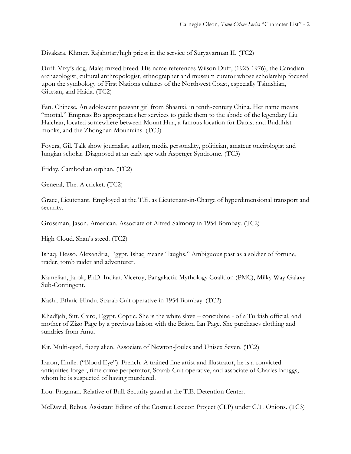Divākara. Khmer. Rājahotar/high priest in the service of Suryavarman II. (TC2)

Duff. Vixy's dog. Male; mixed breed. His name references Wilson Duff, (1925-1976), the Canadian archaeologist, cultural anthropologist, ethnographer and museum curator whose scholarship focused upon the symbology of First Nations cultures of the Northwest Coast, especially Tsimshian, Gitxsan, and Haida. (TC2)

Fan. Chinese. An adolescent peasant girl from Shaanxi, in tenth-century China. Her name means "mortal." Empress Bo appropriates her services to guide them to the abode of the legendary Liu Haichan, located somewhere between Mount Hua, a famous location for Daoist and Buddhist monks, and the Zhongnan Mountains. (TC3)

Foyers, Gil. Talk show journalist, author, media personality, politician, amateur oneirologist and Jungian scholar. Diagnosed at an early age with Asperger Syndrome. (TC3)

Friday. Cambodian orphan. (TC2)

General, The. A cricket. (TC2)

Grace, Lieutenant. Employed at the T.E. as Lieutenant-in-Charge of hyperdimensional transport and security.

Grossman, Jason. American. Associate of Alfred Salmony in 1954 Bombay. (TC2)

High Cloud. Shan's steed. (TC2)

Ishaq, Hesso. Alexandria, Egypt. Ishaq means "laughs." Ambiguous past as a soldier of fortune, trader, tomb raider and adventurer.

Kamelian, Jarok, PhD. Indian. Viceroy, Pangalactic Mythology Coalition (PMC), Milky Way Galaxy Sub-Contingent.

Kashi. Ethnic Hindu. Scarab Cult operative in 1954 Bombay. (TC2)

Khadījah, Sitt. Cairo, Egypt. Coptic. She is the white slave – concubine - of a Turkish official, and mother of Zizo Page by a previous liaison with the Briton Ian Page. She purchases clothing and sundries from Amu.

Kit. Multi-eyed, fuzzy alien. Associate of Newton-Joules and Unisex Seven. (TC2)

Laron, Émile. ("Blood Eye"). French. A trained fine artist and illustrator, he is a convicted antiquities forger, time crime perpetrator, Scarab Cult operative, and associate of Charles Bruggs, whom he is suspected of having murdered.

Lou. Frogman. Relative of Bull. Security guard at the T.E. Detention Center.

McDavid, Rebus. Assistant Editor of the Cosmic Lexicon Project (CLP) under C.T. Onions. (TC3)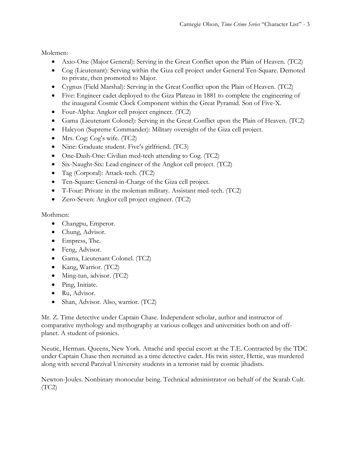Molemen:

- Axio-One (Major General): Serving in the Great Conflict upon the Plain of Heaven. (TC2)
- Cog (Lieutenant): Serving within the Giza cell project under General Ten-Square. Demoted to private, then promoted to Major.
- Cygnus (Field Marshal): Serving in the Great Conflict upon the Plain of Heaven. (TC2)
- Five: Engineer cadet deployed to the Giza Plateau in 1881 to complete the engineering of the inaugural Cosmic Clock Component within the Great Pyramid. Son of Five-X.
- Four-Alpha: Angkor cell project engineer. (TC2)
- Gama (Lieutenant Colonel): Serving in the Great Conflict upon the Plain of Heaven. (TC2)
- Halcyon (Supreme Commander): Military oversight of the Giza cell project.
- Mrs. Cog: Cog's wife. (TC2)
- Nine: Graduate student. Five's girlfriend. (TC3)
- One-Dash-One: Civilian med-tech attending to Cog. (TC2)
- Six-Naught-Six: Lead engineer of the Angkor cell project. (TC2)
- Tag (Corporal): Attack-tech. (TC2)
- Ten-Square: General-in-Charge of the Giza cell project.
- T-Four: Private in the moleman military. Assistant med-tech. (TC2)
- Zero-Seven: Angkor cell project engineer. (TC2)

Mothmen:

- Changpu, Emperor.
- Chung, Advisor.
- Empress, The.
- Feng, Advisor.
- Gama, Lieutenant Colonel. (TC2)
- Kang, Warrior. (TC2)
- Ming-tun, advisor. (TC2)
- Ping, Initiate.
- Ru, Advisor.
- Shan, Advisor. Also, warrior. (TC2)

Mr. Z. Time detective under Captain Chase. Independent scholar, author and instructor of comparative mythology and mythography at various colleges and universities both on and offplanet. A student of psionics.

Neutic, Herman. Queens, New York. Attaché and special escort at the T.E. Contracted by the TDC under Captain Chase then recruited as a time detective cadet. His twin sister, Hettie, was murdered along with several Parzival University students in a terrorist raid by cosmic jihadists.

Newton-Joules. Nonbinary monocular being. Technical administrator on behalf of the Scarab Cult.  $(TC2)$